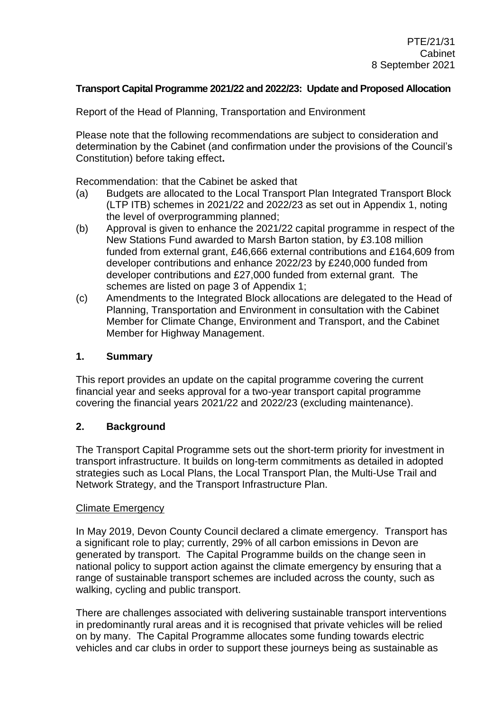### **Transport Capital Programme 2021/22 and 2022/23: Update and Proposed Allocation**

Report of the Head of Planning, Transportation and Environment

Please note that the following recommendations are subject to consideration and determination by the Cabinet (and confirmation under the provisions of the Council's Constitution) before taking effect**.**

Recommendation: that the Cabinet be asked that

- (a) Budgets are allocated to the Local Transport Plan Integrated Transport Block (LTP ITB) schemes in 2021/22 and 2022/23 as set out in Appendix 1, noting the level of overprogramming planned;
- (b) Approval is given to enhance the 2021/22 capital programme in respect of the New Stations Fund awarded to Marsh Barton station, by £3.108 million funded from external grant, £46,666 external contributions and £164,609 from developer contributions and enhance 2022/23 by £240,000 funded from developer contributions and £27,000 funded from external grant. The schemes are listed on page 3 of Appendix 1;
- (c) Amendments to the Integrated Block allocations are delegated to the Head of Planning, Transportation and Environment in consultation with the Cabinet Member for Climate Change, Environment and Transport, and the Cabinet Member for Highway Management.

#### **1. Summary**

This report provides an update on the capital programme covering the current financial year and seeks approval for a two-year transport capital programme covering the financial years 2021/22 and 2022/23 (excluding maintenance).

### **2. Background**

The Transport Capital Programme sets out the short-term priority for investment in transport infrastructure. It builds on long-term commitments as detailed in adopted strategies such as Local Plans, the Local Transport Plan, the Multi-Use Trail and Network Strategy, and the Transport Infrastructure Plan.

#### Climate Emergency

In May 2019, Devon County Council declared a climate emergency. Transport has a significant role to play; currently, 29% of all carbon emissions in Devon are generated by transport. The Capital Programme builds on the change seen in national policy to support action against the climate emergency by ensuring that a range of sustainable transport schemes are included across the county, such as walking, cycling and public transport.

There are challenges associated with delivering sustainable transport interventions in predominantly rural areas and it is recognised that private vehicles will be relied on by many. The Capital Programme allocates some funding towards electric vehicles and car clubs in order to support these journeys being as sustainable as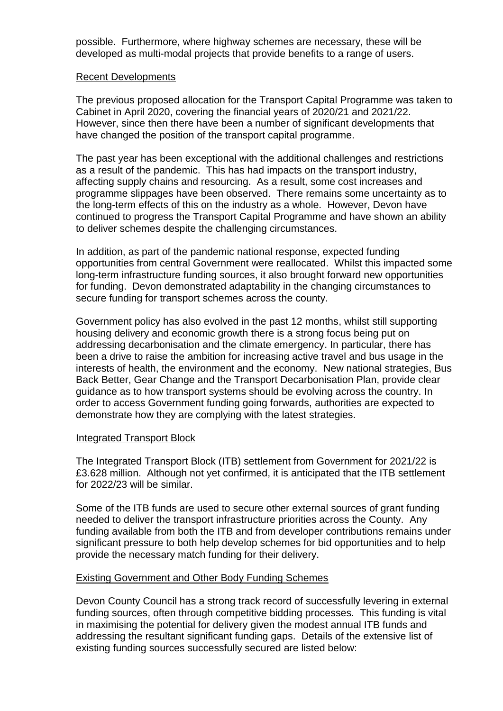possible. Furthermore, where highway schemes are necessary, these will be developed as multi-modal projects that provide benefits to a range of users.

#### Recent Developments

The previous proposed allocation for the Transport Capital Programme was taken to Cabinet in April 2020, covering the financial years of 2020/21 and 2021/22. However, since then there have been a number of significant developments that have changed the position of the transport capital programme.

The past year has been exceptional with the additional challenges and restrictions as a result of the pandemic. This has had impacts on the transport industry, affecting supply chains and resourcing. As a result, some cost increases and programme slippages have been observed. There remains some uncertainty as to the long-term effects of this on the industry as a whole. However, Devon have continued to progress the Transport Capital Programme and have shown an ability to deliver schemes despite the challenging circumstances.

In addition, as part of the pandemic national response, expected funding opportunities from central Government were reallocated. Whilst this impacted some long-term infrastructure funding sources, it also brought forward new opportunities for funding. Devon demonstrated adaptability in the changing circumstances to secure funding for transport schemes across the county.

Government policy has also evolved in the past 12 months, whilst still supporting housing delivery and economic growth there is a strong focus being put on addressing decarbonisation and the climate emergency. In particular, there has been a drive to raise the ambition for increasing active travel and bus usage in the interests of health, the environment and the economy. New national strategies, Bus Back Better, Gear Change and the Transport Decarbonisation Plan, provide clear guidance as to how transport systems should be evolving across the country. In order to access Government funding going forwards, authorities are expected to demonstrate how they are complying with the latest strategies.

#### Integrated Transport Block

The Integrated Transport Block (ITB) settlement from Government for 2021/22 is £3.628 million. Although not yet confirmed, it is anticipated that the ITB settlement for 2022/23 will be similar.

Some of the ITB funds are used to secure other external sources of grant funding needed to deliver the transport infrastructure priorities across the County. Any funding available from both the ITB and from developer contributions remains under significant pressure to both help develop schemes for bid opportunities and to help provide the necessary match funding for their delivery.

### Existing Government and Other Body Funding Schemes

Devon County Council has a strong track record of successfully levering in external funding sources, often through competitive bidding processes. This funding is vital in maximising the potential for delivery given the modest annual ITB funds and addressing the resultant significant funding gaps. Details of the extensive list of existing funding sources successfully secured are listed below: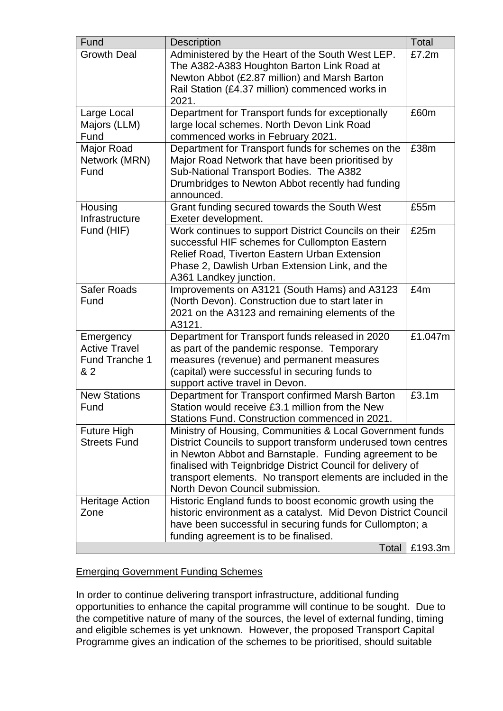| Fund                   | <b>Description</b>                                             | <b>Total</b> |
|------------------------|----------------------------------------------------------------|--------------|
| <b>Growth Deal</b>     | Administered by the Heart of the South West LEP.               | £7.2m        |
|                        | The A382-A383 Houghton Barton Link Road at                     |              |
|                        | Newton Abbot (£2.87 million) and Marsh Barton                  |              |
|                        | Rail Station (£4.37 million) commenced works in                |              |
|                        | 2021.                                                          |              |
| Large Local            | Department for Transport funds for exceptionally               | £60m         |
| Majors (LLM)           | large local schemes. North Devon Link Road                     |              |
| Fund                   | commenced works in February 2021.                              |              |
| Major Road             | Department for Transport funds for schemes on the              | £38m         |
| Network (MRN)          | Major Road Network that have been prioritised by               |              |
| Fund                   | Sub-National Transport Bodies. The A382                        |              |
|                        | Drumbridges to Newton Abbot recently had funding               |              |
|                        | announced.                                                     |              |
| Housing                | Grant funding secured towards the South West                   | £55m         |
| Infrastructure         | Exeter development.                                            |              |
| Fund (HIF)             | Work continues to support District Councils on their           | £25m         |
|                        | successful HIF schemes for Cullompton Eastern                  |              |
|                        | Relief Road, Tiverton Eastern Urban Extension                  |              |
|                        | Phase 2, Dawlish Urban Extension Link, and the                 |              |
|                        | A361 Landkey junction.                                         |              |
| <b>Safer Roads</b>     | Improvements on A3121 (South Hams) and A3123                   | £4m          |
| Fund                   | (North Devon). Construction due to start later in              |              |
|                        | 2021 on the A3123 and remaining elements of the                |              |
|                        | A3121.                                                         |              |
| Emergency              | Department for Transport funds released in 2020                | £1.047m      |
| <b>Active Travel</b>   | as part of the pandemic response. Temporary                    |              |
| Fund Tranche 1         | measures (revenue) and permanent measures                      |              |
| & 2                    | (capital) were successful in securing funds to                 |              |
|                        | support active travel in Devon.                                |              |
| <b>New Stations</b>    | Department for Transport confirmed Marsh Barton                | £3.1m        |
| Fund                   | Station would receive £3.1 million from the New                |              |
|                        | Stations Fund. Construction commenced in 2021.                 |              |
| <b>Future High</b>     | Ministry of Housing, Communities & Local Government funds      |              |
| <b>Streets Fund</b>    | District Councils to support transform underused town centres  |              |
|                        | in Newton Abbot and Barnstaple. Funding agreement to be        |              |
|                        | finalised with Teignbridge District Council for delivery of    |              |
|                        | transport elements. No transport elements are included in the  |              |
|                        | North Devon Council submission.                                |              |
| <b>Heritage Action</b> | Historic England funds to boost economic growth using the      |              |
| Zone                   | historic environment as a catalyst. Mid Devon District Council |              |
|                        | have been successful in securing funds for Cullompton; a       |              |
|                        | funding agreement is to be finalised.                          |              |
|                        | Total                                                          | £193.3m      |

# Emerging Government Funding Schemes

In order to continue delivering transport infrastructure, additional funding opportunities to enhance the capital programme will continue to be sought. Due to the competitive nature of many of the sources, the level of external funding, timing and eligible schemes is yet unknown. However, the proposed Transport Capital Programme gives an indication of the schemes to be prioritised, should suitable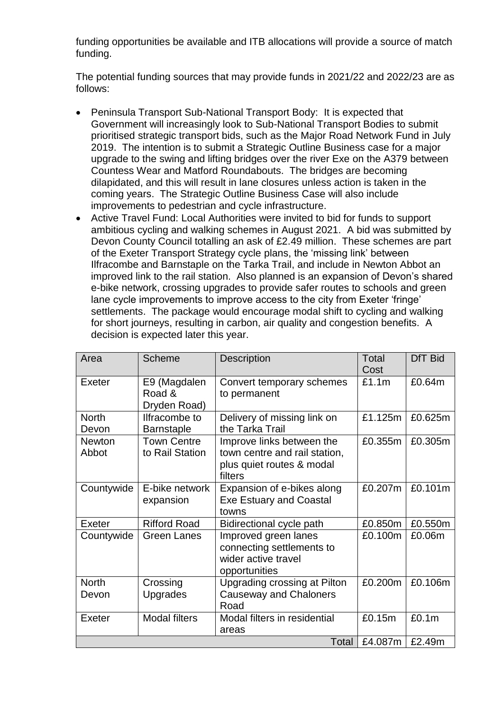funding opportunities be available and ITB allocations will provide a source of match funding.

The potential funding sources that may provide funds in 2021/22 and 2022/23 are as follows:

- Peninsula Transport Sub-National Transport Body: It is expected that Government will increasingly look to Sub-National Transport Bodies to submit prioritised strategic transport bids, such as the Major Road Network Fund in July 2019. The intention is to submit a Strategic Outline Business case for a major upgrade to the swing and lifting bridges over the river Exe on the A379 between Countess Wear and Matford Roundabouts. The bridges are becoming dilapidated, and this will result in lane closures unless action is taken in the coming years. The Strategic Outline Business Case will also include improvements to pedestrian and cycle infrastructure.
- Active Travel Fund: Local Authorities were invited to bid for funds to support ambitious cycling and walking schemes in August 2021. A bid was submitted by Devon County Council totalling an ask of £2.49 million. These schemes are part of the Exeter Transport Strategy cycle plans, the 'missing link' between Ilfracombe and Barnstaple on the Tarka Trail, and include in Newton Abbot an improved link to the rail station. Also planned is an expansion of Devon's shared e-bike network, crossing upgrades to provide safer routes to schools and green lane cycle improvements to improve access to the city from Exeter 'fringe' settlements. The package would encourage modal shift to cycling and walking for short journeys, resulting in carbon, air quality and congestion benefits. A decision is expected later this year.

| Area                   | Scheme                                 | <b>Description</b>                                                                                 | Total<br>Cost | <b>DfT Bid</b> |
|------------------------|----------------------------------------|----------------------------------------------------------------------------------------------------|---------------|----------------|
| Exeter                 | E9 (Magdalen<br>Road &<br>Dryden Road) | Convert temporary schemes<br>to permanent                                                          | £1.1m         | £0.64m         |
| <b>North</b><br>Devon  | Ilfracombe to<br><b>Barnstaple</b>     | Delivery of missing link on<br>the Tarka Trail                                                     | £1.125m       | £0.625m        |
| <b>Newton</b><br>Abbot | <b>Town Centre</b><br>to Rail Station  | Improve links between the<br>town centre and rail station,<br>plus quiet routes & modal<br>filters | £0.355m       | £0.305m        |
| Countywide             | E-bike network<br>expansion            | Expansion of e-bikes along<br><b>Exe Estuary and Coastal</b><br>towns                              | £0.207m       | £0.101m        |
| Exeter                 | <b>Rifford Road</b>                    | Bidirectional cycle path                                                                           | £0.850m       | £0.550m        |
| Countywide             | <b>Green Lanes</b>                     | Improved green lanes<br>connecting settlements to<br>wider active travel<br>opportunities          | £0.100m       | £0.06m         |
| <b>North</b>           | Crossing                               | Upgrading crossing at Pilton                                                                       | £0.200m       | £0.106m        |
| Devon                  | <b>Upgrades</b>                        | <b>Causeway and Chaloners</b><br>Road                                                              |               |                |
| Exeter                 | <b>Modal filters</b>                   | Modal filters in residential<br>areas                                                              | £0.15m        | £0.1m          |
|                        |                                        | Total                                                                                              | £4.087m       | £2.49m         |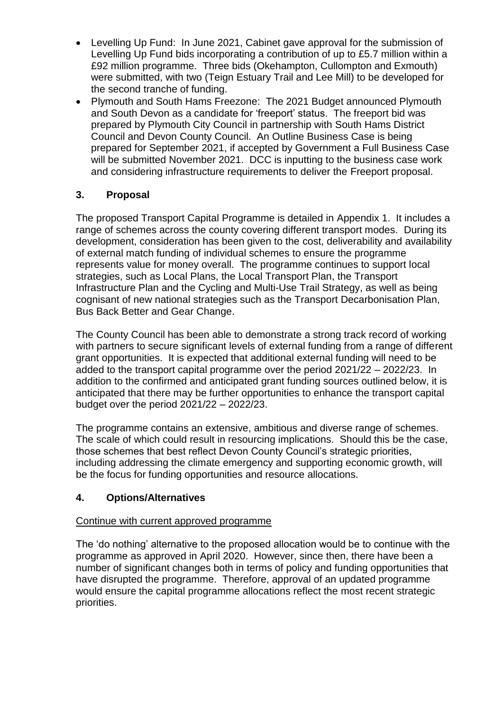- Levelling Up Fund: In June 2021, Cabinet gave approval for the submission of Levelling Up Fund bids incorporating a contribution of up to £5.7 million within a £92 million programme. Three bids (Okehampton, Cullompton and Exmouth) were submitted, with two (Teign Estuary Trail and Lee Mill) to be developed for the second tranche of funding.
- Plymouth and South Hams Freezone: The 2021 Budget announced Plymouth and South Devon as a candidate for 'freeport' status. The freeport bid was prepared by Plymouth City Council in partnership with South Hams District Council and Devon County Council. An Outline Business Case is being prepared for September 2021, if accepted by Government a Full Business Case will be submitted November 2021. DCC is inputting to the business case work and considering infrastructure requirements to deliver the Freeport proposal.

# **3. Proposal**

The proposed Transport Capital Programme is detailed in Appendix 1. It includes a range of schemes across the county covering different transport modes. During its development, consideration has been given to the cost, deliverability and availability of external match funding of individual schemes to ensure the programme represents value for money overall. The programme continues to support local strategies, such as Local Plans, the Local Transport Plan, the Transport Infrastructure Plan and the Cycling and Multi-Use Trail Strategy, as well as being cognisant of new national strategies such as the Transport Decarbonisation Plan, Bus Back Better and Gear Change.

The County Council has been able to demonstrate a strong track record of working with partners to secure significant levels of external funding from a range of different grant opportunities. It is expected that additional external funding will need to be added to the transport capital programme over the period 2021/22 – 2022/23. In addition to the confirmed and anticipated grant funding sources outlined below, it is anticipated that there may be further opportunities to enhance the transport capital budget over the period 2021/22 – 2022/23.

The programme contains an extensive, ambitious and diverse range of schemes. The scale of which could result in resourcing implications. Should this be the case, those schemes that best reflect Devon County Council's strategic priorities, including addressing the climate emergency and supporting economic growth, will be the focus for funding opportunities and resource allocations.

# **4. Options/Alternatives**

### Continue with current approved programme

The 'do nothing' alternative to the proposed allocation would be to continue with the programme as approved in April 2020. However, since then, there have been a number of significant changes both in terms of policy and funding opportunities that have disrupted the programme. Therefore, approval of an updated programme would ensure the capital programme allocations reflect the most recent strategic priorities.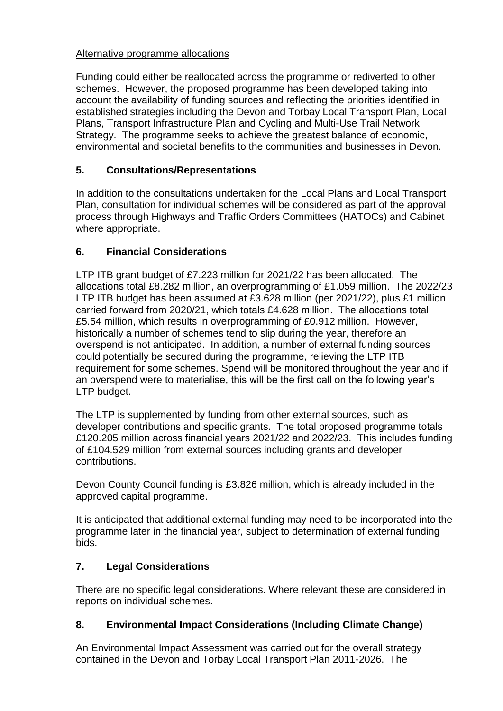### Alternative programme allocations

Funding could either be reallocated across the programme or rediverted to other schemes. However, the proposed programme has been developed taking into account the availability of funding sources and reflecting the priorities identified in established strategies including the Devon and Torbay Local Transport Plan, Local Plans, Transport Infrastructure Plan and Cycling and Multi-Use Trail Network Strategy. The programme seeks to achieve the greatest balance of economic, environmental and societal benefits to the communities and businesses in Devon.

# **5. Consultations/Representations**

In addition to the consultations undertaken for the Local Plans and Local Transport Plan, consultation for individual schemes will be considered as part of the approval process through Highways and Traffic Orders Committees (HATOCs) and Cabinet where appropriate.

# **6. Financial Considerations**

LTP ITB grant budget of £7.223 million for 2021/22 has been allocated. The allocations total £8.282 million, an overprogramming of £1.059 million. The 2022/23 LTP ITB budget has been assumed at £3.628 million (per 2021/22), plus £1 million carried forward from 2020/21, which totals £4.628 million. The allocations total £5.54 million, which results in overprogramming of £0.912 million. However, historically a number of schemes tend to slip during the year, therefore an overspend is not anticipated. In addition, a number of external funding sources could potentially be secured during the programme, relieving the LTP ITB requirement for some schemes. Spend will be monitored throughout the year and if an overspend were to materialise, this will be the first call on the following year's LTP budget.

The LTP is supplemented by funding from other external sources, such as developer contributions and specific grants. The total proposed programme totals £120.205 million across financial years 2021/22 and 2022/23. This includes funding of £104.529 million from external sources including grants and developer contributions.

Devon County Council funding is £3.826 million, which is already included in the approved capital programme.

It is anticipated that additional external funding may need to be incorporated into the programme later in the financial year, subject to determination of external funding bids.

# **7. Legal Considerations**

There are no specific legal considerations. Where relevant these are considered in reports on individual schemes.

# **8. Environmental Impact Considerations (Including Climate Change)**

An Environmental Impact Assessment was carried out for the overall strategy contained in the Devon and Torbay Local Transport Plan 2011-2026. The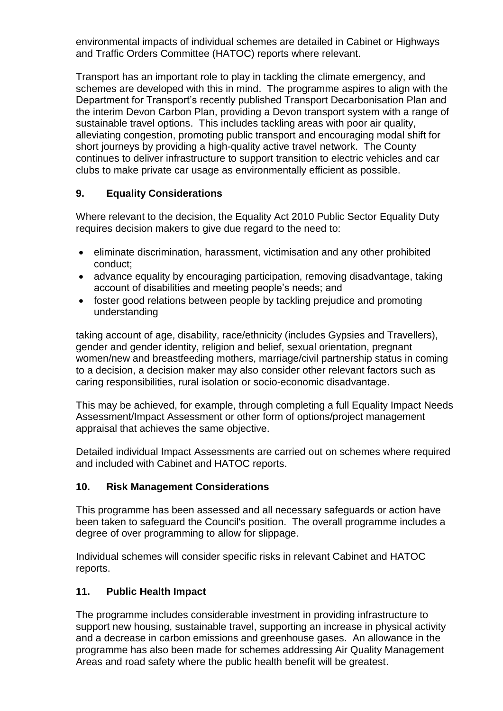environmental impacts of individual schemes are detailed in Cabinet or Highways and Traffic Orders Committee (HATOC) reports where relevant.

Transport has an important role to play in tackling the climate emergency, and schemes are developed with this in mind. The programme aspires to align with the Department for Transport's recently published Transport Decarbonisation Plan and the interim Devon Carbon Plan, providing a Devon transport system with a range of sustainable travel options. This includes tackling areas with poor air quality, alleviating congestion, promoting public transport and encouraging modal shift for short journeys by providing a high-quality active travel network. The County continues to deliver infrastructure to support transition to electric vehicles and car clubs to make private car usage as environmentally efficient as possible.

# **9. Equality Considerations**

Where relevant to the decision, the Equality Act 2010 Public Sector Equality Duty requires decision makers to give due regard to the need to:

- eliminate discrimination, harassment, victimisation and any other prohibited conduct;
- advance equality by encouraging participation, removing disadvantage, taking account of disabilities and meeting people's needs; and
- foster good relations between people by tackling prejudice and promoting understanding

taking account of age, disability, race/ethnicity (includes Gypsies and Travellers), gender and gender identity, religion and belief, sexual orientation, pregnant women/new and breastfeeding mothers, marriage/civil partnership status in coming to a decision, a decision maker may also consider other relevant factors such as caring responsibilities, rural isolation or socio-economic disadvantage.

This may be achieved, for example, through completing a full Equality Impact Needs Assessment/Impact Assessment or other form of options/project management appraisal that achieves the same objective.

Detailed individual Impact Assessments are carried out on schemes where required and included with Cabinet and HATOC reports.

# **10. Risk Management Considerations**

This programme has been assessed and all necessary safeguards or action have been taken to safeguard the Council's position. The overall programme includes a degree of over programming to allow for slippage.

Individual schemes will consider specific risks in relevant Cabinet and HATOC reports.

# **11. Public Health Impact**

The programme includes considerable investment in providing infrastructure to support new housing, sustainable travel, supporting an increase in physical activity and a decrease in carbon emissions and greenhouse gases. An allowance in the programme has also been made for schemes addressing Air Quality Management Areas and road safety where the public health benefit will be greatest.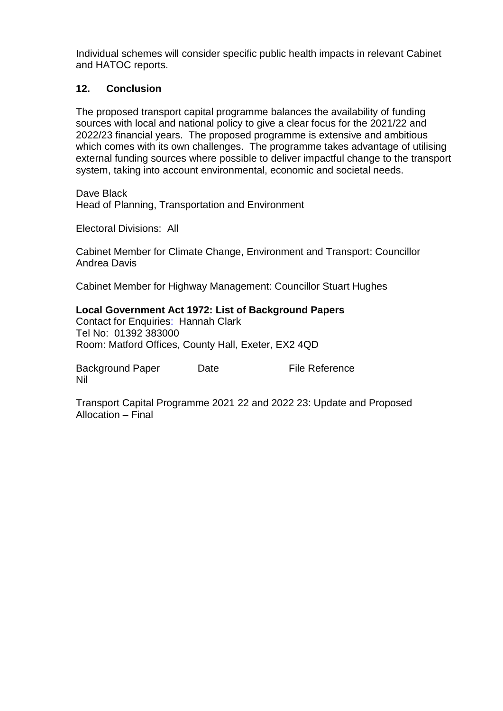Individual schemes will consider specific public health impacts in relevant Cabinet and HATOC reports.

### **12. Conclusion**

The proposed transport capital programme balances the availability of funding sources with local and national policy to give a clear focus for the 2021/22 and 2022/23 financial years. The proposed programme is extensive and ambitious which comes with its own challenges. The programme takes advantage of utilising external funding sources where possible to deliver impactful change to the transport system, taking into account environmental, economic and societal needs.

Dave Black Head of Planning, Transportation and Environment

Electoral Divisions: All

Cabinet Member for Climate Change, Environment and Transport: Councillor Andrea Davis

Cabinet Member for Highway Management: Councillor Stuart Hughes

### **Local Government Act 1972: List of Background Papers**

Contact for Enquiries: Hannah Clark Tel No: 01392 383000 Room: Matford Offices, County Hall, Exeter, EX2 4QD

Background Paper Date File Reference Nil

Transport Capital Programme 2021 22 and 2022 23: Update and Proposed Allocation – Final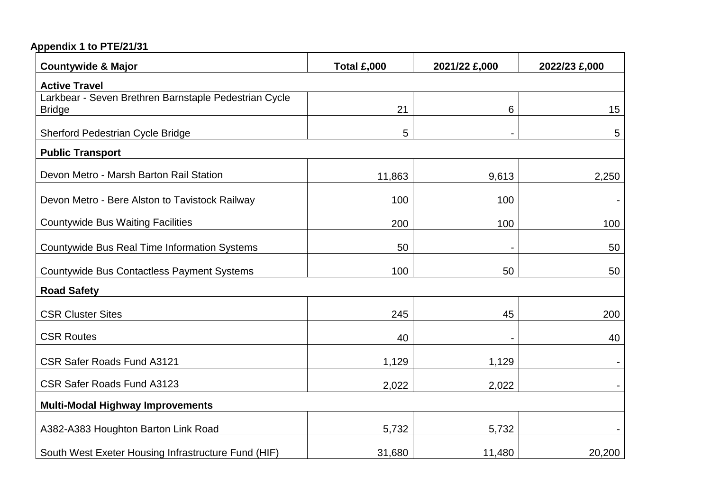# **Appendix 1 to PTE/21/31**

| <b>Countywide &amp; Major</b>                                          | Total £,000 | 2021/22 £,000  | 2022/23 £,000 |
|------------------------------------------------------------------------|-------------|----------------|---------------|
| <b>Active Travel</b>                                                   |             |                |               |
| Larkbear - Seven Brethren Barnstaple Pedestrian Cycle<br><b>Bridge</b> | 21          | 6              | 15            |
| <b>Sherford Pedestrian Cycle Bridge</b>                                | 5           | $\blacksquare$ | 5             |
| <b>Public Transport</b>                                                |             |                |               |
| Devon Metro - Marsh Barton Rail Station                                | 11,863      | 9,613          | 2,250         |
| Devon Metro - Bere Alston to Tavistock Railway                         | 100         | 100            |               |
| <b>Countywide Bus Waiting Facilities</b>                               | 200         | 100            | 100           |
| <b>Countywide Bus Real Time Information Systems</b>                    | 50          |                | 50            |
| <b>Countywide Bus Contactless Payment Systems</b>                      | 100         | 50             | 50            |
| <b>Road Safety</b>                                                     |             |                |               |
| <b>CSR Cluster Sites</b>                                               | 245         | 45             | 200           |
| <b>CSR Routes</b>                                                      | 40          |                | 40            |
| <b>CSR Safer Roads Fund A3121</b>                                      | 1,129       | 1,129          |               |
| <b>CSR Safer Roads Fund A3123</b>                                      | 2,022       | 2,022          |               |
| <b>Multi-Modal Highway Improvements</b>                                |             |                |               |
| A382-A383 Houghton Barton Link Road                                    | 5,732       | 5,732          |               |
| South West Exeter Housing Infrastructure Fund (HIF)                    | 31,680      | 11,480         | 20,200        |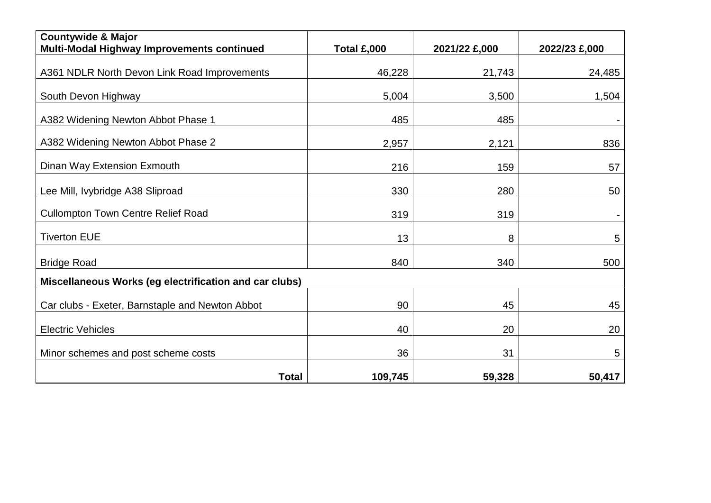| <b>Countywide &amp; Major</b><br>Multi-Modal Highway Improvements continued | Total £,000 | 2021/22 £,000 | 2022/23 £,000 |
|-----------------------------------------------------------------------------|-------------|---------------|---------------|
| A361 NDLR North Devon Link Road Improvements                                | 46,228      | 21,743        | 24,485        |
| South Devon Highway                                                         | 5,004       | 3,500         | 1,504         |
| A382 Widening Newton Abbot Phase 1                                          | 485         | 485           |               |
| A382 Widening Newton Abbot Phase 2                                          | 2,957       | 2,121         | 836           |
| Dinan Way Extension Exmouth                                                 | 216         | 159           | 57            |
| Lee Mill, Ivybridge A38 Sliproad                                            | 330         | 280           | 50            |
| <b>Cullompton Town Centre Relief Road</b>                                   | 319         | 319           |               |
| <b>Tiverton EUE</b>                                                         | 13          | 8             | 5             |
| <b>Bridge Road</b>                                                          | 840         | 340           | 500           |
| Miscellaneous Works (eg electrification and car clubs)                      |             |               |               |
| Car clubs - Exeter, Barnstaple and Newton Abbot                             | 90          | 45            | 45            |
| <b>Electric Vehicles</b>                                                    | 40          | 20            | 20            |
| Minor schemes and post scheme costs                                         | 36          | 31            | 5             |
| <b>Total</b>                                                                | 109,745     | 59,328        | 50,417        |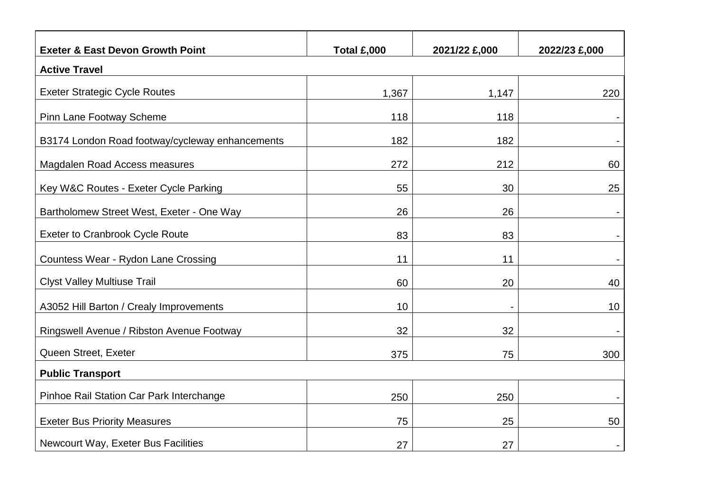| <b>Exeter &amp; East Devon Growth Point</b>     | Total £,000 | 2021/22 £,000 | 2022/23 £,000 |  |
|-------------------------------------------------|-------------|---------------|---------------|--|
| <b>Active Travel</b>                            |             |               |               |  |
| <b>Exeter Strategic Cycle Routes</b>            | 1,367       | 1,147         | 220           |  |
| <b>Pinn Lane Footway Scheme</b>                 | 118         | 118           |               |  |
| B3174 London Road footway/cycleway enhancements | 182         | 182           |               |  |
| Magdalen Road Access measures                   | 272         | 212           | 60            |  |
| Key W&C Routes - Exeter Cycle Parking           | 55          | 30            | 25            |  |
| Bartholomew Street West, Exeter - One Way       | 26          | 26            |               |  |
| <b>Exeter to Cranbrook Cycle Route</b>          | 83          | 83            |               |  |
| Countess Wear - Rydon Lane Crossing             | 11          | 11            |               |  |
| <b>Clyst Valley Multiuse Trail</b>              | 60          | 20            | 40            |  |
| A3052 Hill Barton / Crealy Improvements         | 10          |               | 10            |  |
| Ringswell Avenue / Ribston Avenue Footway       | 32          | 32            |               |  |
| Queen Street, Exeter                            | 375         | 75            | 300           |  |
| <b>Public Transport</b>                         |             |               |               |  |
| Pinhoe Rail Station Car Park Interchange        | 250         | 250           |               |  |
| <b>Exeter Bus Priority Measures</b>             | 75          | 25            | 50            |  |
| Newcourt Way, Exeter Bus Facilities             | 27          | 27            |               |  |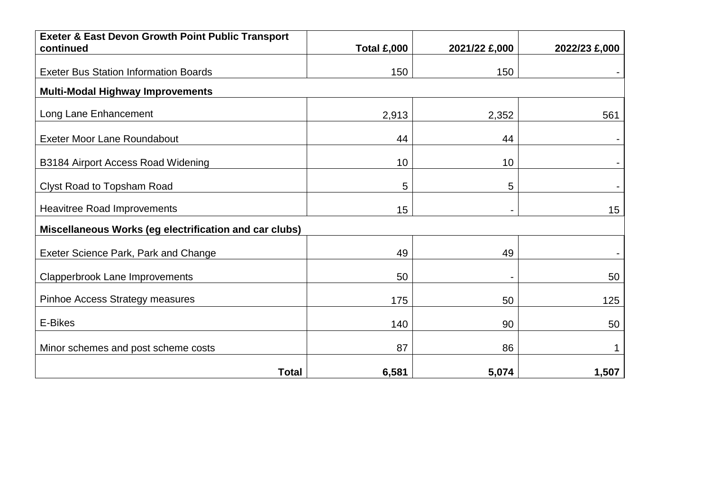| <b>Exeter &amp; East Devon Growth Point Public Transport</b><br>continued | Total £,000 | 2021/22 £,000 | 2022/23 £,000 |
|---------------------------------------------------------------------------|-------------|---------------|---------------|
|                                                                           |             |               |               |
| <b>Exeter Bus Station Information Boards</b>                              | 150         | 150           |               |
| <b>Multi-Modal Highway Improvements</b>                                   |             |               |               |
| Long Lane Enhancement                                                     | 2,913       | 2,352         | 561           |
| <b>Exeter Moor Lane Roundabout</b>                                        | 44          | 44            |               |
| B3184 Airport Access Road Widening                                        | 10          | 10            |               |
| Clyst Road to Topsham Road                                                | 5           | 5             |               |
| <b>Heavitree Road Improvements</b>                                        | 15          | -             | 15            |
| Miscellaneous Works (eg electrification and car clubs)                    |             |               |               |
| Exeter Science Park, Park and Change                                      | 49          | 49            |               |
| <b>Clapperbrook Lane Improvements</b>                                     | 50          |               | 50            |
| Pinhoe Access Strategy measures                                           | 175         | 50            | 125           |
| E-Bikes                                                                   | 140         | 90            | 50            |
| Minor schemes and post scheme costs                                       | 87          | 86            |               |
| <b>Total</b>                                                              | 6,581       | 5,074         | 1,507         |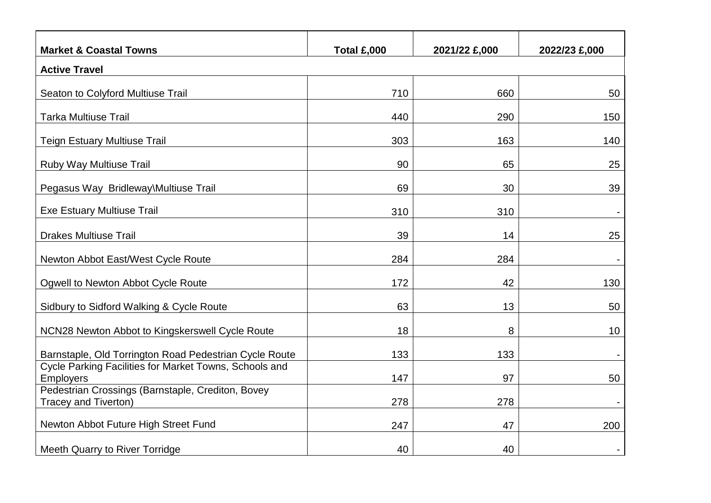| <b>Market &amp; Coastal Towns</b>                                          | Total £,000 | 2021/22 £,000 | 2022/23 £,000 |  |
|----------------------------------------------------------------------------|-------------|---------------|---------------|--|
| <b>Active Travel</b>                                                       |             |               |               |  |
| Seaton to Colyford Multiuse Trail                                          | 710         | 660           | 50            |  |
| <b>Tarka Multiuse Trail</b>                                                | 440         | 290           | 150           |  |
| <b>Teign Estuary Multiuse Trail</b>                                        | 303         | 163           | 140           |  |
| Ruby Way Multiuse Trail                                                    | 90          | 65            | 25            |  |
| Pegasus Way Bridleway\Multiuse Trail                                       | 69          | 30            | 39            |  |
| <b>Exe Estuary Multiuse Trail</b>                                          | 310         | 310           |               |  |
| <b>Drakes Multiuse Trail</b>                                               | 39          | 14            | 25            |  |
| Newton Abbot East/West Cycle Route                                         | 284         | 284           |               |  |
| Ogwell to Newton Abbot Cycle Route                                         | 172         | 42            | 130           |  |
| Sidbury to Sidford Walking & Cycle Route                                   | 63          | 13            | 50            |  |
| NCN28 Newton Abbot to Kingskerswell Cycle Route                            | 18          | 8             | 10            |  |
| Barnstaple, Old Torrington Road Pedestrian Cycle Route                     | 133         | 133           |               |  |
| Cycle Parking Facilities for Market Towns, Schools and<br><b>Employers</b> | 147         | 97            | 50            |  |
| Pedestrian Crossings (Barnstaple, Crediton, Bovey<br>Tracey and Tiverton)  | 278         | 278           |               |  |
| Newton Abbot Future High Street Fund                                       | 247         | 47            | 200           |  |
| <b>Meeth Quarry to River Torridge</b>                                      | 40          | 40            |               |  |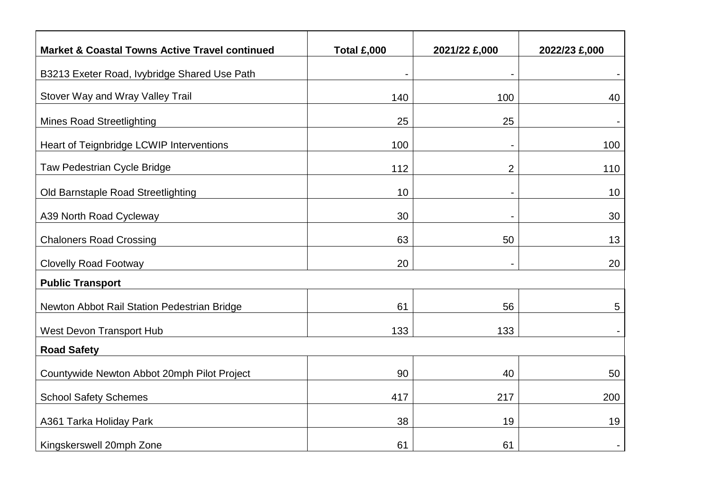| <b>Market &amp; Coastal Towns Active Travel continued</b> | Total £,000 | 2021/22 £,000            | 2022/23 £,000 |
|-----------------------------------------------------------|-------------|--------------------------|---------------|
| B3213 Exeter Road, Ivybridge Shared Use Path              |             |                          |               |
| Stover Way and Wray Valley Trail                          | 140         | 100                      | 40            |
| <b>Mines Road Streetlighting</b>                          | 25          | 25                       |               |
| Heart of Teignbridge LCWIP Interventions                  | 100         | $\overline{\phantom{a}}$ | 100           |
| Taw Pedestrian Cycle Bridge                               | 112         | $\overline{2}$           | 110           |
| Old Barnstaple Road Streetlighting                        | 10          |                          | 10            |
| A39 North Road Cycleway                                   | 30          |                          | 30            |
| <b>Chaloners Road Crossing</b>                            | 63          | 50                       | 13            |
| <b>Clovelly Road Footway</b>                              | 20          |                          | 20            |
| <b>Public Transport</b>                                   |             |                          |               |
| Newton Abbot Rail Station Pedestrian Bridge               | 61          | 56                       | 5             |
| <b>West Devon Transport Hub</b>                           | 133         | 133                      |               |
| <b>Road Safety</b>                                        |             |                          |               |
| Countywide Newton Abbot 20mph Pilot Project               | 90          | 40                       | 50            |
| <b>School Safety Schemes</b>                              | 417         | 217                      | 200           |
| A361 Tarka Holiday Park                                   | 38          | 19                       | 19            |
| Kingskerswell 20mph Zone                                  | 61          | 61                       |               |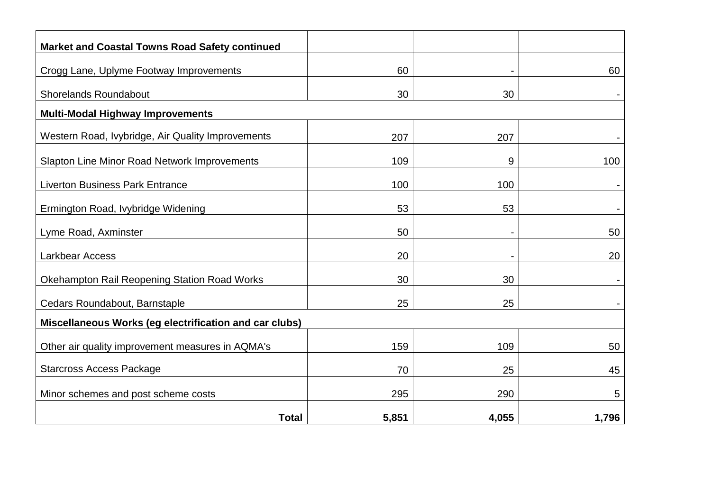| <b>Market and Coastal Towns Road Safety continued</b>  |       |                |       |
|--------------------------------------------------------|-------|----------------|-------|
| Crogg Lane, Uplyme Footway Improvements                | 60    |                | 60    |
| <b>Shorelands Roundabout</b>                           | 30    | 30             |       |
| <b>Multi-Modal Highway Improvements</b>                |       |                |       |
| Western Road, Ivybridge, Air Quality Improvements      | 207   | 207            |       |
| Slapton Line Minor Road Network Improvements           | 109   | 9              | 100   |
| <b>Liverton Business Park Entrance</b>                 | 100   | 100            |       |
| Ermington Road, Ivybridge Widening                     | 53    | 53             |       |
| Lyme Road, Axminster                                   | 50    | $\blacksquare$ | 50    |
| Larkbear Access                                        | 20    |                | 20    |
| <b>Okehampton Rail Reopening Station Road Works</b>    | 30    | 30             |       |
| Cedars Roundabout, Barnstaple                          | 25    | 25             |       |
| Miscellaneous Works (eg electrification and car clubs) |       |                |       |
| Other air quality improvement measures in AQMA's       | 159   | 109            | 50    |
| <b>Starcross Access Package</b>                        | 70    | 25             | 45    |
| Minor schemes and post scheme costs                    | 295   | 290            | 5     |
| <b>Total</b>                                           | 5,851 | 4,055          | 1,796 |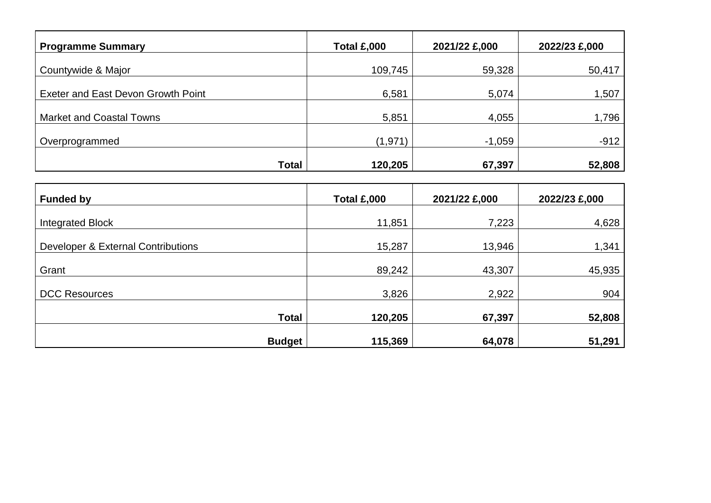| <b>Programme Summary</b>           | Total £,000 | 2021/22 £,000 | 2022/23 £,000 |
|------------------------------------|-------------|---------------|---------------|
| Countywide & Major                 | 109,745     | 59,328        | 50,417        |
|                                    |             |               |               |
| Exeter and East Devon Growth Point | 6,581       | 5,074         | 1,507         |
| <b>Market and Coastal Towns</b>    | 5,851       | 4,055         | 1,796         |
| Overprogrammed                     | (1,971)     | $-1,059$      | $-912$        |
| <b>Total</b>                       | 120,205     | 67,397        | 52,808        |

| <b>Funded by</b>                   | <b>Total £,000</b> | 2021/22 £,000 | 2022/23 £,000 |
|------------------------------------|--------------------|---------------|---------------|
| <b>Integrated Block</b>            | 11,851             | 7,223         | 4,628         |
| Developer & External Contributions | 15,287             | 13,946        | 1,341         |
| Grant                              | 89,242             | 43,307        | 45,935        |
| <b>DCC Resources</b>               | 3,826              | 2,922         | 904           |
| <b>Total</b>                       | 120,205            | 67,397        | 52,808        |
| <b>Budget</b>                      | 115,369            | 64,078        | 51,291        |